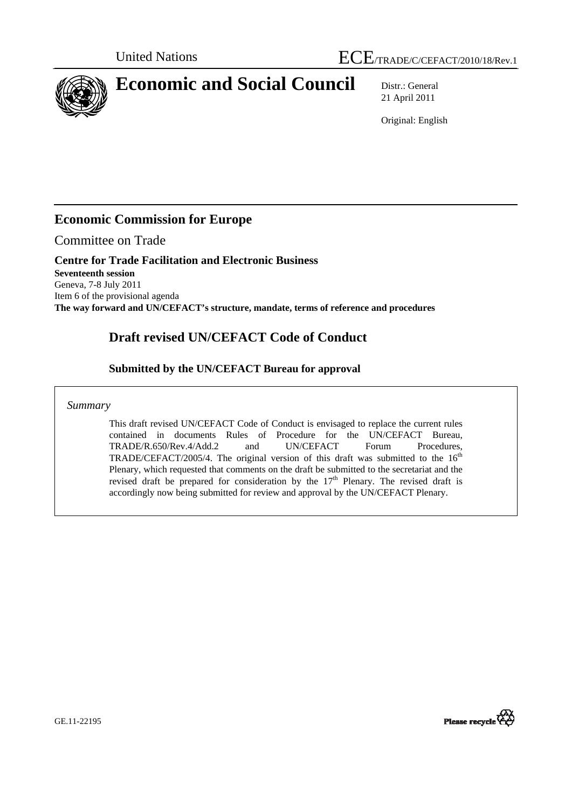

# **Economic and Social Council** Distr.: General

21 April 2011

Original: English

### **Economic Commission for Europe**

Committee on Trade

#### **Centre for Trade Facilitation and Electronic Business Seventeenth session**

Geneva, 7-8 July 2011 Item 6 of the provisional agenda **The way forward and UN/CEFACT's structure, mandate, terms of reference and procedures** 

## **Draft revised UN/CEFACT Code of Conduct**

### **Submitted by the UN/CEFACT Bureau for approval**

*Summary* 

This draft revised UN/CEFACT Code of Conduct is envisaged to replace the current rules contained in documents Rules of Procedure for the UN/CEFACT Bureau, TRADE/R.650/Rev.4/Add.2 and UN/CEFACT Forum Procedures, TRADE/CEFACT/2005/4. The original version of this draft was submitted to the  $16<sup>th</sup>$ Plenary, which requested that comments on the draft be submitted to the secretariat and the revised draft be prepared for consideration by the  $17<sup>th</sup>$  Plenary. The revised draft is accordingly now being submitted for review and approval by the UN/CEFACT Plenary.

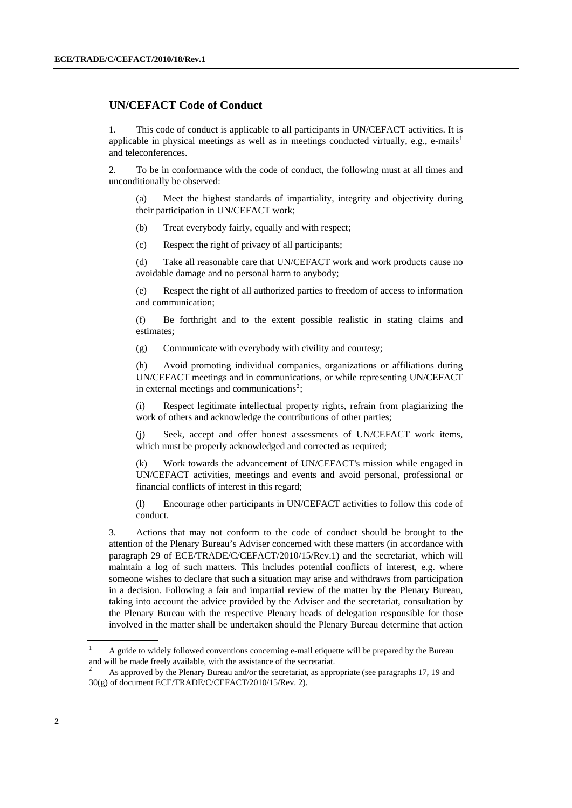#### <span id="page-1-0"></span> **UN/CEFACT Code of Conduct**

1. This code of conduct is applicable to all participants in UN/CEFACT activities. It is applicable in physical meetings as well as in meetings conducted virtually, e.g., e-mails<sup>[1](#page-1-0)</sup> and teleconferences.

<span id="page-1-1"></span>2. To be in conformance with the code of conduct, the following must at all times and unconditionally be observed:

(a) Meet the highest standards of impartiality, integrity and objectivity during their participation in UN/CEFACT work;

(b) Treat everybody fairly, equally and with respect;

(c) Respect the right of privacy of all participants;

(d) Take all reasonable care that UN/CEFACT work and work products cause no avoidable damage and no personal harm to anybody;

(e) Respect the right of all authorized parties to freedom of access to information and communication;

(f) Be forthright and to the extent possible realistic in stating claims and estimates;

(g) Communicate with everybody with civility and courtesy;

(h) Avoid promoting individual companies, organizations or affiliations during UN/CEFACT meetings and in communications, or while representing UN/CEFACT in external meetings and communications<sup>[2](#page-1-1)</sup>;

(i) Respect legitimate intellectual property rights, refrain from plagiarizing the work of others and acknowledge the contributions of other parties;

(j) Seek, accept and offer honest assessments of UN/CEFACT work items, which must be properly acknowledged and corrected as required;

(k) Work towards the advancement of UN/CEFACT's mission while engaged in UN/CEFACT activities, meetings and events and avoid personal, professional or financial conflicts of interest in this regard;

(l) Encourage other participants in UN/CEFACT activities to follow this code of conduct.

3. Actions that may not conform to the code of conduct should be brought to the attention of the Plenary Bureau's Adviser concerned with these matters (in accordance with paragraph 29 of ECE/TRADE/C/CEFACT/2010/15/Rev.1) and the secretariat, which will maintain a log of such matters. This includes potential conflicts of interest, e.g. where someone wishes to declare that such a situation may arise and withdraws from participation in a decision. Following a fair and impartial review of the matter by the Plenary Bureau, taking into account the advice provided by the Adviser and the secretariat, consultation by the Plenary Bureau with the respective Plenary heads of delegation responsible for those involved in the matter shall be undertaken should the Plenary Bureau determine that action

<sup>1</sup> A guide to widely followed conventions concerning e-mail etiquette will be prepared by the Bureau and will be made freely available, with the assistance of the secretariat.

<sup>2</sup> As approved by the Plenary Bureau and/or the secretariat, as appropriate (see paragraphs 17, 19 and 30(g) of document ECE/TRADE/C/CEFACT/2010/15/Rev. 2).